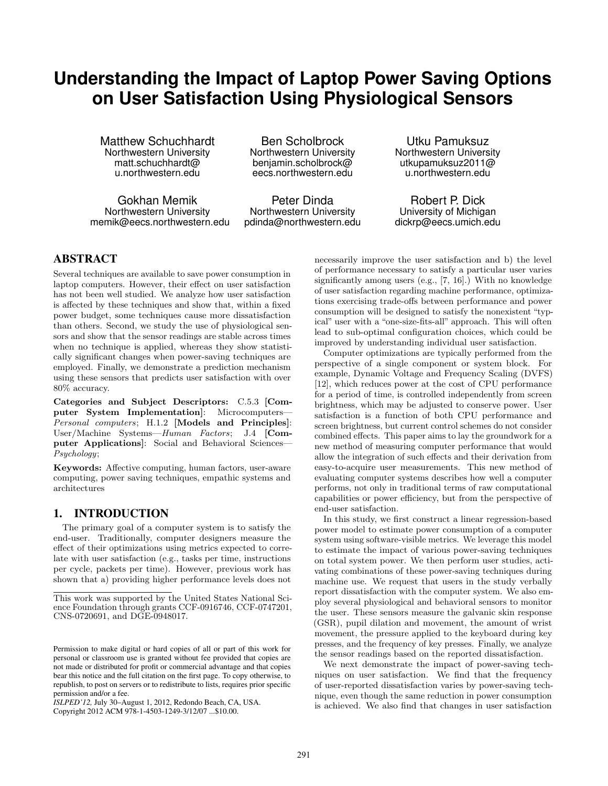# **Understanding the Impact of Laptop Power Saving Options on User Satisfaction Using Physiological Sensors**

Matthew Schuchhardt Northwestern University matt.schuchhardt@ u.northwestern.edu

Gokhan Memik Northwestern University memik@eecs.northwestern.edu

Ben Scholbrock Northwestern University benjamin.scholbrock@ eecs.northwestern.edu

Peter Dinda Northwestern University pdinda@northwestern.edu

Utku Pamuksuz Northwestern University utkupamuksuz2011@ u.northwestern.edu

Robert P. Dick University of Michigan dickrp@eecs.umich.edu

# ABSTRACT

Several techniques are available to save power consumption in laptop computers. However, their effect on user satisfaction has not been well studied. We analyze how user satisfaction is affected by these techniques and show that, within a fixed power budget, some techniques cause more dissatisfaction than others. Second, we study the use of physiological sensors and show that the sensor readings are stable across times when no technique is applied, whereas they show statistically significant changes when power-saving techniques are employed. Finally, we demonstrate a prediction mechanism using these sensors that predicts user satisfaction with over 80% accuracy.

Categories and Subject Descriptors: C.5.3 [Computer System Implementation]: Microcomputers— Personal computers; H.1.2 [Models and Principles]: User/Machine Systems—Human Factors; J.4 [Computer Applications]: Social and Behavioral Sciences— Psychology;

Keywords: Affective computing, human factors, user-aware computing, power saving techniques, empathic systems and architectures

# 1. INTRODUCTION

The primary goal of a computer system is to satisfy the end-user. Traditionally, computer designers measure the effect of their optimizations using metrics expected to correlate with user satisfaction (e.g., tasks per time, instructions per cycle, packets per time). However, previous work has shown that a) providing higher performance levels does not

*ISLPED'12,* July 30–August 1, 2012, Redondo Beach, CA, USA.

Copyright 2012 ACM 978-1-4503-1249-3/12/07 ...\$10.00.

necessarily improve the user satisfaction and b) the level of performance necessary to satisfy a particular user varies significantly among users (e.g., [7, 16].) With no knowledge of user satisfaction regarding machine performance, optimizations exercising trade-offs between performance and power consumption will be designed to satisfy the nonexistent "typical" user with a "one-size-fits-all" approach. This will often lead to sub-optimal configuration choices, which could be improved by understanding individual user satisfaction.

Computer optimizations are typically performed from the perspective of a single component or system block. For example, Dynamic Voltage and Frequency Scaling (DVFS) [12], which reduces power at the cost of CPU performance for a period of time, is controlled independently from screen brightness, which may be adjusted to conserve power. User satisfaction is a function of both CPU performance and screen brightness, but current control schemes do not consider combined effects. This paper aims to lay the groundwork for a new method of measuring computer performance that would allow the integration of such effects and their derivation from easy-to-acquire user measurements. This new method of evaluating computer systems describes how well a computer performs, not only in traditional terms of raw computational capabilities or power efficiency, but from the perspective of end-user satisfaction.

In this study, we first construct a linear regression-based power model to estimate power consumption of a computer system using software-visible metrics. We leverage this model to estimate the impact of various power-saving techniques on total system power. We then perform user studies, activating combinations of these power-saving techniques during machine use. We request that users in the study verbally report dissatisfaction with the computer system. We also employ several physiological and behavioral sensors to monitor the user. These sensors measure the galvanic skin response (GSR), pupil dilation and movement, the amount of wrist movement, the pressure applied to the keyboard during key presses, and the frequency of key presses. Finally, we analyze the sensor readings based on the reported dissatisfaction.

We next demonstrate the impact of power-saving techniques on user satisfaction. We find that the frequency of user-reported dissatisfaction varies by power-saving technique, even though the same reduction in power consumption is achieved. We also find that changes in user satisfaction

This work was supported by the United States National Science Foundation through grants CCF-0916746, CCF-0747201, CNS-0720691, and DGE-0948017.

Permission to make digital or hard copies of all or part of this work for personal or classroom use is granted without fee provided that copies are not made or distributed for profit or commercial advantage and that copies bear this notice and the full citation on the first page. To copy otherwise, to republish, to post on servers or to redistribute to lists, requires prior specific permission and/or a fee.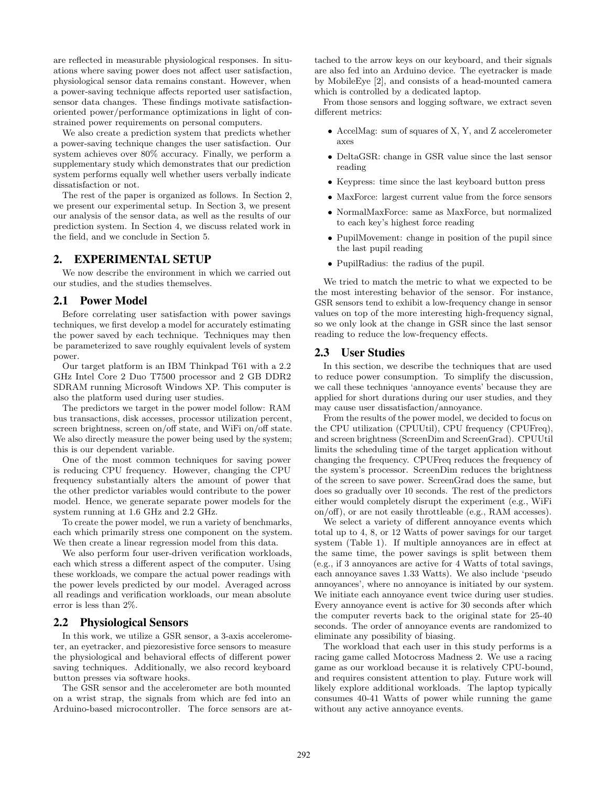are reflected in measurable physiological responses. In situations where saving power does not affect user satisfaction, physiological sensor data remains constant. However, when a power-saving technique affects reported user satisfaction, sensor data changes. These findings motivate satisfactionoriented power/performance optimizations in light of constrained power requirements on personal computers.

We also create a prediction system that predicts whether a power-saving technique changes the user satisfaction. Our system achieves over 80% accuracy. Finally, we perform a supplementary study which demonstrates that our prediction system performs equally well whether users verbally indicate dissatisfaction or not.

The rest of the paper is organized as follows. In Section 2, we present our experimental setup. In Section 3, we present our analysis of the sensor data, as well as the results of our prediction system. In Section 4, we discuss related work in the field, and we conclude in Section 5.

#### 2. EXPERIMENTAL SETUP

We now describe the environment in which we carried out our studies, and the studies themselves.

# 2.1 Power Model

Before correlating user satisfaction with power savings techniques, we first develop a model for accurately estimating the power saved by each technique. Techniques may then be parameterized to save roughly equivalent levels of system power.

Our target platform is an IBM Thinkpad T61 with a 2.2 GHz Intel Core 2 Duo T7500 processor and 2 GB DDR2 SDRAM running Microsoft Windows XP. This computer is also the platform used during user studies.

The predictors we target in the power model follow: RAM bus transactions, disk accesses, processor utilization percent, screen brightness, screen on/off state, and WiFi on/off state. We also directly measure the power being used by the system; this is our dependent variable.

One of the most common techniques for saving power is reducing CPU frequency. However, changing the CPU frequency substantially alters the amount of power that the other predictor variables would contribute to the power model. Hence, we generate separate power models for the system running at 1.6 GHz and 2.2 GHz.

To create the power model, we run a variety of benchmarks, each which primarily stress one component on the system. We then create a linear regression model from this data.

We also perform four user-driven verification workloads, each which stress a different aspect of the computer. Using these workloads, we compare the actual power readings with the power levels predicted by our model. Averaged across all readings and verification workloads, our mean absolute error is less than 2%.

#### 2.2 Physiological Sensors

In this work, we utilize a GSR sensor, a 3-axis accelerometer, an eyetracker, and piezoresistive force sensors to measure the physiological and behavioral effects of different power saving techniques. Additionally, we also record keyboard button presses via software hooks.

The GSR sensor and the accelerometer are both mounted on a wrist strap, the signals from which are fed into an Arduino-based microcontroller. The force sensors are attached to the arrow keys on our keyboard, and their signals are also fed into an Arduino device. The eyetracker is made by MobileEye [2], and consists of a head-mounted camera which is controlled by a dedicated laptop.

From those sensors and logging software, we extract seven different metrics:

- AccelMag: sum of squares of X, Y, and Z accelerometer axes
- DeltaGSR: change in GSR value since the last sensor reading
- Keypress: time since the last keyboard button press
- MaxForce: largest current value from the force sensors
- NormalMaxForce: same as MaxForce, but normalized to each key's highest force reading
- PupilMovement: change in position of the pupil since the last pupil reading
- PupilRadius: the radius of the pupil.

We tried to match the metric to what we expected to be the most interesting behavior of the sensor. For instance, GSR sensors tend to exhibit a low-frequency change in sensor values on top of the more interesting high-frequency signal, so we only look at the change in GSR since the last sensor reading to reduce the low-frequency effects.

#### 2.3 User Studies

In this section, we describe the techniques that are used to reduce power consumption. To simplify the discussion, we call these techniques 'annoyance events' because they are applied for short durations during our user studies, and they may cause user dissatisfaction/annoyance.

From the results of the power model, we decided to focus on the CPU utilization (CPUUtil), CPU frequency (CPUFreq), and screen brightness (ScreenDim and ScreenGrad). CPUUtil limits the scheduling time of the target application without changing the frequency. CPUFreq reduces the frequency of the system's processor. ScreenDim reduces the brightness of the screen to save power. ScreenGrad does the same, but does so gradually over 10 seconds. The rest of the predictors either would completely disrupt the experiment (e.g., WiFi on/off), or are not easily throttleable (e.g., RAM accesses).

We select a variety of different annoyance events which total up to 4, 8, or 12 Watts of power savings for our target system (Table 1). If multiple annoyances are in effect at the same time, the power savings is split between them (e.g., if 3 annoyances are active for 4 Watts of total savings, each annoyance saves 1.33 Watts). We also include 'pseudo annoyances', where no annoyance is initiated by our system. We initiate each annoyance event twice during user studies. Every annoyance event is active for 30 seconds after which the computer reverts back to the original state for 25-40 seconds. The order of annoyance events are randomized to eliminate any possibility of biasing.

The workload that each user in this study performs is a racing game called Motocross Madness 2. We use a racing game as our workload because it is relatively CPU-bound, and requires consistent attention to play. Future work will likely explore additional workloads. The laptop typically consumes 40-41 Watts of power while running the game without any active annoyance events.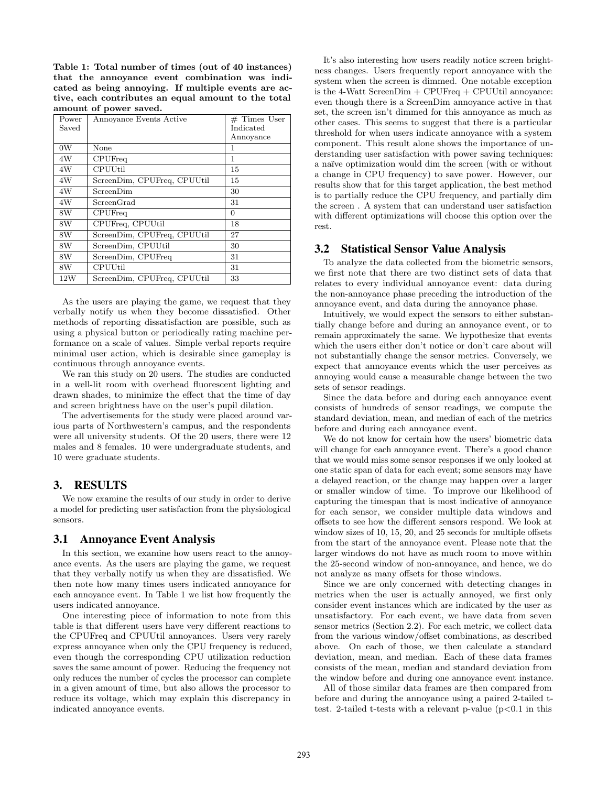Table 1: Total number of times (out of 40 instances) that the annoyance event combination was indicated as being annoying. If multiple events are active, each contributes an equal amount to the total amount of power saved.

| Power | Annovance Events Active     | $#$ Times User |
|-------|-----------------------------|----------------|
| Saved |                             | Indicated      |
|       |                             | Annoyance      |
| 0W    | None                        | 1              |
| 4W    | CPUFreq                     | 1              |
| 4W    | CPUUtil                     | 15             |
| 4W    | ScreenDim, CPUFreq, CPUUtil | 15             |
| 4W    | ScreenDim                   | 30             |
| 4W    | ScreenGrad                  | 31             |
| 8W    | CPUFreq                     | $\Omega$       |
| 8W    | CPUFreq, CPUUtil            | 18             |
| 8W    | ScreenDim, CPUFreq, CPUUtil | 27             |
| 8W    | ScreenDim, CPUUtil          | 30             |
| 8W    | ScreenDim, CPUFreq          | 31             |
| 8W    | CPUUtil                     | 31             |
| 12W   | ScreenDim, CPUFreq, CPUUtil | 33             |

As the users are playing the game, we request that they verbally notify us when they become dissatisfied. Other methods of reporting dissatisfaction are possible, such as using a physical button or periodically rating machine performance on a scale of values. Simple verbal reports require minimal user action, which is desirable since gameplay is continuous through annoyance events.

We ran this study on 20 users. The studies are conducted in a well-lit room with overhead fluorescent lighting and drawn shades, to minimize the effect that the time of day and screen brightness have on the user's pupil dilation.

The advertisements for the study were placed around various parts of Northwestern's campus, and the respondents were all university students. Of the 20 users, there were 12 males and 8 females. 10 were undergraduate students, and 10 were graduate students.

#### 3. RESULTS

We now examine the results of our study in order to derive a model for predicting user satisfaction from the physiological sensors.

# 3.1 Annoyance Event Analysis

In this section, we examine how users react to the annoyance events. As the users are playing the game, we request that they verbally notify us when they are dissatisfied. We then note how many times users indicated annoyance for each annoyance event. In Table 1 we list how frequently the users indicated annoyance.

One interesting piece of information to note from this table is that different users have very different reactions to the CPUFreq and CPUUtil annoyances. Users very rarely express annoyance when only the CPU frequency is reduced, even though the corresponding CPU utilization reduction saves the same amount of power. Reducing the frequency not only reduces the number of cycles the processor can complete in a given amount of time, but also allows the processor to reduce its voltage, which may explain this discrepancy in indicated annoyance events.

It's also interesting how users readily notice screen brightness changes. Users frequently report annoyance with the system when the screen is dimmed. One notable exception is the 4-Watt ScreenDim + CPUFreq + CPUUtil annoyance: even though there is a ScreenDim annoyance active in that set, the screen isn't dimmed for this annoyance as much as other cases. This seems to suggest that there is a particular threshold for when users indicate annoyance with a system component. This result alone shows the importance of understanding user satisfaction with power saving techniques: a naïve optimization would dim the screen (with or without a change in CPU frequency) to save power. However, our results show that for this target application, the best method is to partially reduce the CPU frequency, and partially dim the screen . A system that can understand user satisfaction with different optimizations will choose this option over the rest.

#### 3.2 Statistical Sensor Value Analysis

To analyze the data collected from the biometric sensors, we first note that there are two distinct sets of data that relates to every individual annoyance event: data during the non-annoyance phase preceding the introduction of the annoyance event, and data during the annoyance phase.

Intuitively, we would expect the sensors to either substantially change before and during an annoyance event, or to remain approximately the same. We hypothesize that events which the users either don't notice or don't care about will not substantially change the sensor metrics. Conversely, we expect that annoyance events which the user perceives as annoying would cause a measurable change between the two sets of sensor readings.

Since the data before and during each annoyance event consists of hundreds of sensor readings, we compute the standard deviation, mean, and median of each of the metrics before and during each annoyance event.

We do not know for certain how the users' biometric data will change for each annoyance event. There's a good chance that we would miss some sensor responses if we only looked at one static span of data for each event; some sensors may have a delayed reaction, or the change may happen over a larger or smaller window of time. To improve our likelihood of capturing the timespan that is most indicative of annoyance for each sensor, we consider multiple data windows and offsets to see how the different sensors respond. We look at window sizes of 10, 15, 20, and 25 seconds for multiple offsets from the start of the annoyance event. Please note that the larger windows do not have as much room to move within the 25-second window of non-annoyance, and hence, we do not analyze as many offsets for those windows.

Since we are only concerned with detecting changes in metrics when the user is actually annoyed, we first only consider event instances which are indicated by the user as unsatisfactory. For each event, we have data from seven sensor metrics (Section 2.2). For each metric, we collect data from the various window/offset combinations, as described above. On each of those, we then calculate a standard deviation, mean, and median. Each of these data frames consists of the mean, median and standard deviation from the window before and during one annoyance event instance.

All of those similar data frames are then compared from before and during the annoyance using a paired 2-tailed ttest. 2-tailed t-tests with a relevant p-value  $(p<0.1$  in this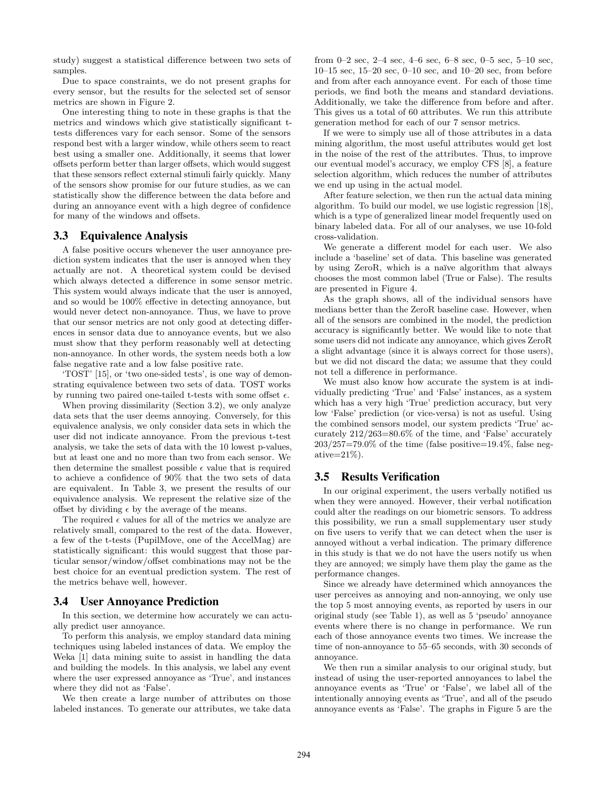study) suggest a statistical difference between two sets of samples.

Due to space constraints, we do not present graphs for every sensor, but the results for the selected set of sensor metrics are shown in Figure 2.

One interesting thing to note in these graphs is that the metrics and windows which give statistically significant ttests differences vary for each sensor. Some of the sensors respond best with a larger window, while others seem to react best using a smaller one. Additionally, it seems that lower offsets perform better than larger offsets, which would suggest that these sensors reflect external stimuli fairly quickly. Many of the sensors show promise for our future studies, as we can statistically show the difference between the data before and during an annoyance event with a high degree of confidence for many of the windows and offsets.

#### 3.3 Equivalence Analysis

A false positive occurs whenever the user annoyance prediction system indicates that the user is annoyed when they actually are not. A theoretical system could be devised which always detected a difference in some sensor metric. This system would always indicate that the user is annoyed, and so would be 100% effective in detecting annoyance, but would never detect non-annoyance. Thus, we have to prove that our sensor metrics are not only good at detecting differences in sensor data due to annoyance events, but we also must show that they perform reasonably well at detecting non-annoyance. In other words, the system needs both a low false negative rate and a low false positive rate.

'TOST' [15], or 'two one-sided tests', is one way of demonstrating equivalence between two sets of data. TOST works by running two paired one-tailed t-tests with some offset  $\epsilon$ .

When proving dissimilarity (Section 3.2), we only analyze data sets that the user deems annoying. Conversely, for this equivalence analysis, we only consider data sets in which the user did not indicate annoyance. From the previous t-test analysis, we take the sets of data with the 10 lowest p-values, but at least one and no more than two from each sensor. We then determine the smallest possible  $\epsilon$  value that is required to achieve a confidence of 90% that the two sets of data are equivalent. In Table 3, we present the results of our equivalence analysis. We represent the relative size of the offset by dividing  $\epsilon$  by the average of the means.

The required  $\epsilon$  values for all of the metrics we analyze are relatively small, compared to the rest of the data. However, a few of the t-tests (PupilMove, one of the AccelMag) are statistically significant: this would suggest that those particular sensor/window/offset combinations may not be the best choice for an eventual prediction system. The rest of the metrics behave well, however.

#### 3.4 User Annoyance Prediction

In this section, we determine how accurately we can actually predict user annoyance.

To perform this analysis, we employ standard data mining techniques using labeled instances of data. We employ the Weka [1] data mining suite to assist in handling the data and building the models. In this analysis, we label any event where the user expressed annoyance as 'True', and instances where they did not as 'False'.

We then create a large number of attributes on those labeled instances. To generate our attributes, we take data from  $0-2$  sec,  $2-4$  sec,  $4-6$  sec,  $6-8$  sec,  $0-5$  sec,  $5-10$  sec, 10–15 sec, 15–20 sec, 0–10 sec, and 10–20 sec, from before and from after each annoyance event. For each of those time periods, we find both the means and standard deviations. Additionally, we take the difference from before and after. This gives us a total of 60 attributes. We run this attribute generation method for each of our 7 sensor metrics.

If we were to simply use all of those attributes in a data mining algorithm, the most useful attributes would get lost in the noise of the rest of the attributes. Thus, to improve our eventual model's accuracy, we employ CFS [8], a feature selection algorithm, which reduces the number of attributes we end up using in the actual model.

After feature selection, we then run the actual data mining algorithm. To build our model, we use logistic regression [18], which is a type of generalized linear model frequently used on binary labeled data. For all of our analyses, we use 10-fold cross-validation.

We generate a different model for each user. We also include a 'baseline' set of data. This baseline was generated by using ZeroR, which is a na¨ıve algorithm that always chooses the most common label (True or False). The results are presented in Figure 4.

As the graph shows, all of the individual sensors have medians better than the ZeroR baseline case. However, when all of the sensors are combined in the model, the prediction accuracy is significantly better. We would like to note that some users did not indicate any annoyance, which gives ZeroR a slight advantage (since it is always correct for those users), but we did not discard the data; we assume that they could not tell a difference in performance.

We must also know how accurate the system is at individually predicting 'True' and 'False' instances, as a system which has a very high 'True' prediction accuracy, but very low 'False' prediction (or vice-versa) is not as useful. Using the combined sensors model, our system predicts 'True' accurately 212/263=80.6% of the time, and 'False' accurately  $203/257=79.0\%$  of the time (false positive=19.4%, false negative= $21\%$ ).

## 3.5 Results Verification

In our original experiment, the users verbally notified us when they were annoyed. However, their verbal notification could alter the readings on our biometric sensors. To address this possibility, we run a small supplementary user study on five users to verify that we can detect when the user is annoyed without a verbal indication. The primary difference in this study is that we do not have the users notify us when they are annoyed; we simply have them play the game as the performance changes.

Since we already have determined which annoyances the user perceives as annoying and non-annoying, we only use the top 5 most annoying events, as reported by users in our original study (see Table 1), as well as 5 'pseudo' annoyance events where there is no change in performance. We run each of those annoyance events two times. We increase the time of non-annoyance to 55–65 seconds, with 30 seconds of annoyance.

We then run a similar analysis to our original study, but instead of using the user-reported annoyances to label the annoyance events as 'True' or 'False', we label all of the intentionally annoying events as 'True', and all of the pseudo annoyance events as 'False'. The graphs in Figure 5 are the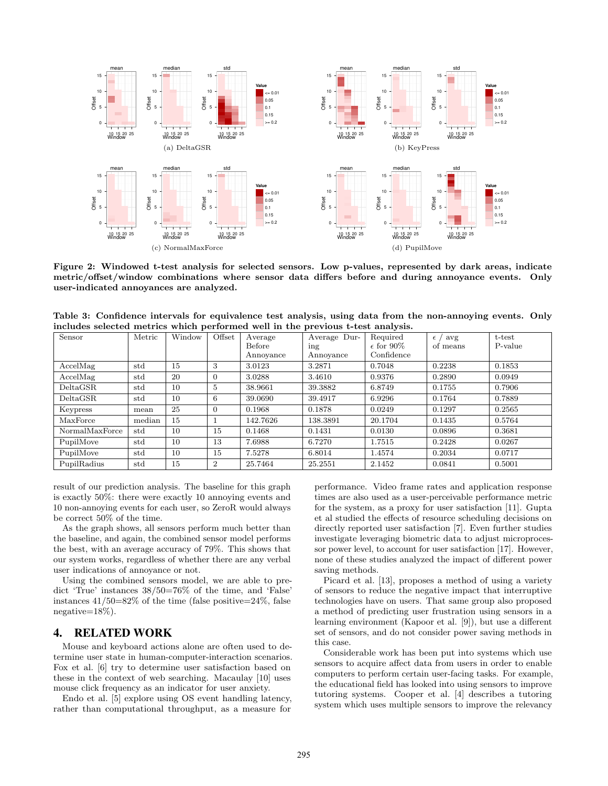

Figure 2: Windowed t-test analysis for selected sensors. Low p-values, represented by dark areas, indicate metric/offset/window combinations where sensor data differs before and during annoyance events. Only user-indicated annoyances are analyzed.

|  | Table 3: Confidence intervals for equivalence test analysis, using data from the non-annoying events. Only |  |  |  |  |
|--|------------------------------------------------------------------------------------------------------------|--|--|--|--|
|  | includes selected metrics which performed well in the previous t-test analysis.                            |  |  |  |  |

| Sensor          | Metric | Window | Offset         | Average   | Average Dur- | Required           | avg<br>$\epsilon$ | t-test  |
|-----------------|--------|--------|----------------|-----------|--------------|--------------------|-------------------|---------|
|                 |        |        |                | Before    | ing          | $\epsilon$ for 90% | of means          | P-value |
|                 |        |        |                | Annovance | Annovance    | Confidence         |                   |         |
| AccelMag        | std    | 15     | 3              | 3.0123    | 3.2871       | 0.7048             | 0.2238            | 0.1853  |
| AccelMag        | std    | 20     | $\Omega$       | 3.0288    | 3.4610       | 0.9376             | 0.2890            | 0.0949  |
| <b>DeltaGSR</b> | std    | 10     | $\overline{5}$ | 38.9661   | 39.3882      | 6.8749             | 0.1755            | 0.7906  |
| <b>DeltaGSR</b> | std    | 10     | 6              | 39.0690   | 39.4917      | 6.9296             | 0.1764            | 0.7889  |
| Keypress        | mean   | 25     | $\overline{0}$ | 0.1968    | 0.1878       | 0.0249             | 0.1297            | 0.2565  |
| MaxForce        | median | 15     |                | 142.7626  | 138.3891     | 20.1704            | 0.1435            | 0.5764  |
| NormalMaxForce  | std    | 10     | 15             | 0.1468    | 0.1431       | 0.0130             | 0.0896            | 0.3681  |
| PupilMove       | std    | 10     | 13             | 7.6988    | 6.7270       | 1.7515             | 0.2428            | 0.0267  |
| PupilMove       | std    | 10     | 15             | 7.5278    | 6.8014       | 1.4574             | 0.2034            | 0.0717  |
| PupilRadius     | std    | 15     | $\overline{2}$ | 25.7464   | 25.2551      | 2.1452             | 0.0841            | 0.5001  |

result of our prediction analysis. The baseline for this graph is exactly 50%: there were exactly 10 annoying events and 10 non-annoying events for each user, so ZeroR would always be correct 50% of the time.

As the graph shows, all sensors perform much better than the baseline, and again, the combined sensor model performs the best, with an average accuracy of 79%. This shows that our system works, regardless of whether there are any verbal user indications of annoyance or not.

Using the combined sensors model, we are able to predict 'True' instances 38/50=76% of the time, and 'False' instances  $41/50=82\%$  of the time (false positive= $24\%$ , false negative=18%).

# 4. RELATED WORK

Mouse and keyboard actions alone are often used to determine user state in human-computer-interaction scenarios. Fox et al. [6] try to determine user satisfaction based on these in the context of web searching. Macaulay [10] uses mouse click frequency as an indicator for user anxiety.

Endo et al. [5] explore using OS event handling latency, rather than computational throughput, as a measure for

performance. Video frame rates and application response times are also used as a user-perceivable performance metric for the system, as a proxy for user satisfaction [11]. Gupta et al studied the effects of resource scheduling decisions on directly reported user satisfaction [7]. Even further studies investigate leveraging biometric data to adjust microprocessor power level, to account for user satisfaction [17]. However, none of these studies analyzed the impact of different power saving methods.

Picard et al. [13], proposes a method of using a variety of sensors to reduce the negative impact that interruptive technologies have on users. That same group also proposed a method of predicting user frustration using sensors in a learning environment (Kapoor et al. [9]), but use a different set of sensors, and do not consider power saving methods in this case.

Considerable work has been put into systems which use sensors to acquire affect data from users in order to enable computers to perform certain user-facing tasks. For example, the educational field has looked into using sensors to improve tutoring systems. Cooper et al. [4] describes a tutoring system which uses multiple sensors to improve the relevancy